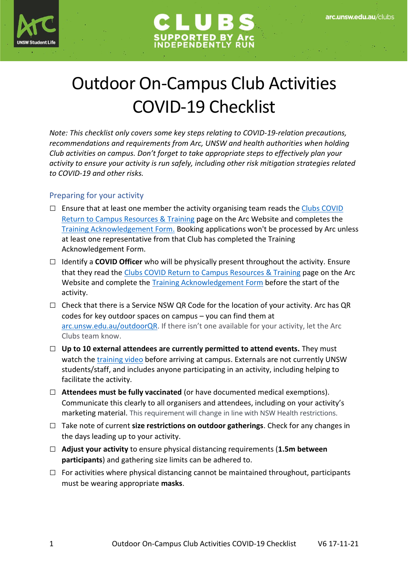



## Outdoor On-Campus Club Activities COVID-19 Checklist

*Note: This checklist only covers some key steps relating to COVID-19-relation precautions, recommendations and requirements from Arc, UNSW and health authorities when holding Club activities on campus. Don't forget to take appropriate steps to effectively plan your activity to ensure your activity is run safely, including other risk mitigation strategies related to COVID-19 and other risks.*

## Preparing for your activity

- $\square$  Ensure that at least one member the activity organising team reads the Clubs COVID [Return to Campus Resources & Training](https://www.arc.unsw.edu.au/clubs/club-admin/clubs-covid-return-to-campus-resources-and-training-1) page on the Arc Website and completes the [Training Acknowledgement Form.](https://arclimited.formstack.com/forms/club_covid_returntocampus) Booking applications won't be processed by Arc unless at least one representative from that Club has completed the Training Acknowledgement Form.
- □ Identify a **COVID Officer** who will be physically present throughout the activity. Ensure that they read the [Clubs COVID Return to Campus Resources & Training](https://www.arc.unsw.edu.au/clubs/club-admin/clubs-covid-return-to-campus-resources-and-training-1) page on the Arc Website and complete the [Training Acknowledgement Form](https://arclimited.formstack.com/forms/club_covid_returntocampus) before the start of the activity.
- $\Box$  Check that there is a Service NSW QR Code for the location of your activity. Arc has QR codes for key outdoor spaces on campus – you can find them at [arc.unsw.edu.au/outdoorQR.](https://www.arc.unsw.edu.au/outdoorqr) If there isn't one available for your activity, let the Arc Clubs team know.
- □ **Up to 10 external attendees are currently permitted to attend events.** They must watch the [training video](https://www.covid-19.unsw.edu.au/safe-return-campus-external-workers) before arriving at campus. Externals are not currently UNSW students/staff, and includes anyone participating in an activity, including helping to facilitate the activity.
- **□ Attendees must be fully vaccinated** (or have documented medical exemptions). Communicate this clearly to all organisers and attendees, including on your activity's marketing material. This requirement will change in line with NSW Health restrictions.
- □ Take note of current **size restrictions on outdoor gatherings**. Check for any changes in the days leading up to your activity.
- □ **Adjust your activity** to ensure physical distancing requirements (**1.5m between participants**) and gathering size limits can be adhered to.
- $\Box$  For activities where physical distancing cannot be maintained throughout, participants must be wearing appropriate **masks**.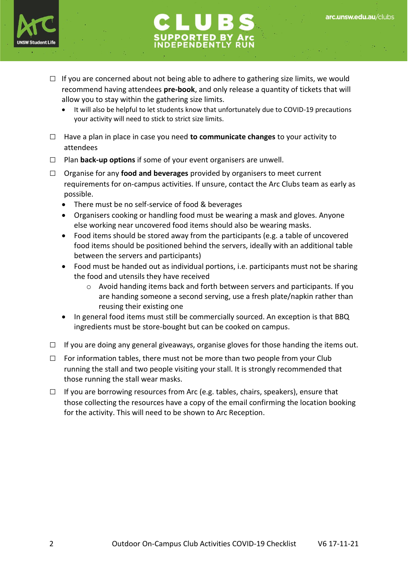



- $\Box$  If you are concerned about not being able to adhere to gathering size limits, we would recommend having attendees **pre-book**, and only release a quantity of tickets that will allow you to stay within the gathering size limits.
	- It will also be helpful to let students know that unfortunately due to COVID-19 precautions your activity will need to stick to strict size limits.
- □ Have a plan in place in case you need **to communicate changes** to your activity to attendees
- □ Plan **back-up options** if some of your event organisers are unwell.
- □ Organise for any **food and beverages** provided by organisers to meet current requirements for on-campus activities. If unsure, contact the Arc Clubs team as early as possible.
	- There must be no self-service of food & beverages
	- Organisers cooking or handling food must be wearing a mask and gloves. Anyone else working near uncovered food items should also be wearing masks.
	- Food items should be stored away from the participants (e.g. a table of uncovered food items should be positioned behind the servers, ideally with an additional table between the servers and participants)
	- Food must be handed out as individual portions, i.e. participants must not be sharing the food and utensils they have received
		- $\circ$  Avoid handing items back and forth between servers and participants. If you are handing someone a second serving, use a fresh plate/napkin rather than reusing their existing one
	- In general food items must still be commercially sourced. An exception is that BBQ ingredients must be store-bought but can be cooked on campus.
- $\Box$  If you are doing any general giveaways, organise gloves for those handing the items out.
- $\square$  For information tables, there must not be more than two people from your Club running the stall and two people visiting your stall. It is strongly recommended that those running the stall wear masks.
- $\Box$  If you are borrowing resources from Arc (e.g. tables, chairs, speakers), ensure that those collecting the resources have a copy of the email confirming the location booking for the activity. This will need to be shown to Arc Reception.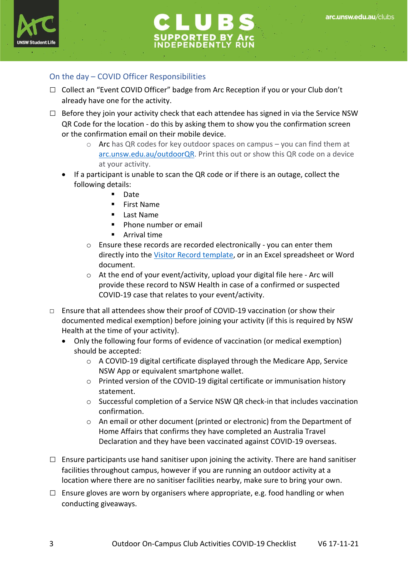



## On the day – COVID Officer Responsibilities

- $\Box$  Collect an "Event COVID Officer" badge from Arc Reception if you or your Club don't already have one for the activity.
- $\Box$  Before they join your activity check that each attendee has signed in via the Service NSW QR Code for the location - do this by asking them to show you the confirmation screen or the confirmation email on their mobile device.
	- $\circ$  Arc has QR codes for key outdoor spaces on campus you can find them at [arc.unsw.edu.au/outdoorQR.](https://www.arc.unsw.edu.au/outdoorqr) Print this out or show this QR code on a device at your activity.
	- If a participant is unable to scan the QR code or if there is an outage, collect the following details:
		- Date
		- First Name
		- Last Name
		- Phone number or email
		- Arrival time
		- o Ensure these records are recorded electronically you can enter them directly into the [Visitor Record template,](https://www.nsw.gov.au/sites/default/files/2020-09/COVID-19-record-of-visitors-at-premises-form.pdf) or in an Excel spreadsheet or Word document.
		- o At the end of your event/activity, upload your digital file [here](https://arclimited.formstack.com/forms/covid_record_of_visitors_at_premises) Arc will provide these record to NSW Health in case of a confirmed or suspected COVID-19 case that relates to your event/activity.
- □ Ensure that all attendees show their proof of COVID-19 vaccination (or show their documented medical exemption) before joining your activity (if this is required by NSW Health at the time of your activity).
	- Only the following four forms of evidence of vaccination (or medical exemption) should be accepted:
		- $\circ$  A COVID-19 digital certificate displayed through the Medicare App, Service NSW App or equivalent smartphone wallet.
		- o Printed version of the COVID-19 digital certificate or immunisation history statement.
		- o Successful completion of a Service NSW QR check-in that includes vaccination confirmation.
		- o An email or other document (printed or electronic) from the Department of Home Affairs that confirms they have completed an Australia Travel Declaration and they have been vaccinated against COVID-19 overseas.
- $\Box$  Ensure participants use hand sanitiser upon joining the activity. There are hand sanitiser facilities throughout campus, however if you are running an outdoor activity at a location where there are no sanitiser facilities nearby, make sure to bring your own.
- $\square$  Ensure gloves are worn by organisers where appropriate, e.g. food handling or when conducting giveaways.